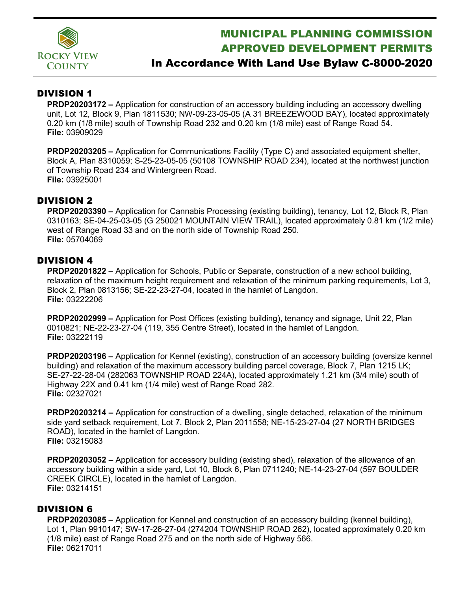

# MUNICIPAL PLANNING COMMISSION APPROVED DEVELOPMENT PERMITS

## In Accordance With Land Use Bylaw C-8000-2020

### DIVISION 1

**PRDP20203172 –** Application for construction of an accessory building including an accessory dwelling unit, Lot 12, Block 9, Plan 1811530; NW-09-23-05-05 (A 31 BREEZEWOOD BAY), located approximately 0.20 km (1/8 mile) south of Township Road 232 and 0.20 km (1/8 mile) east of Range Road 54. **File:** 03909029

**PRDP20203205 –** Application for Communications Facility (Type C) and associated equipment shelter, Block A, Plan 8310059; S-25-23-05-05 (50108 TOWNSHIP ROAD 234), located at the northwest junction of Township Road 234 and Wintergreen Road. **File:** 03925001

### DIVISION 2

**PRDP20203390 –** Application for Cannabis Processing (existing building), tenancy, Lot 12, Block R, Plan 0310163; SE-04-25-03-05 (G 250021 MOUNTAIN VIEW TRAIL), located approximately 0.81 km (1/2 mile) west of Range Road 33 and on the north side of Township Road 250. **File:** 05704069

### DIVISION 4

**PRDP20201822 –** Application for Schools, Public or Separate, construction of a new school building, relaxation of the maximum height requirement and relaxation of the minimum parking requirements, Lot 3, Block 2, Plan 0813156; SE-22-23-27-04, located in the hamlet of Langdon. **File:** 03222206

**PRDP20202999 –** Application for Post Offices (existing building), tenancy and signage, Unit 22, Plan 0010821; NE-22-23-27-04 (119, 355 Centre Street), located in the hamlet of Langdon. **File:** 03222119

**PRDP20203196 –** Application for Kennel (existing), construction of an accessory building (oversize kennel building) and relaxation of the maximum accessory building parcel coverage, Block 7, Plan 1215 LK; SE-27-22-28-04 (282063 TOWNSHIP ROAD 224A), located approximately 1.21 km (3/4 mile) south of Highway 22X and 0.41 km (1/4 mile) west of Range Road 282. **File:** 02327021

**PRDP20203214 –** Application for construction of a dwelling, single detached, relaxation of the minimum side yard setback requirement, Lot 7, Block 2, Plan 2011558; NE-15-23-27-04 (27 NORTH BRIDGES ROAD), located in the hamlet of Langdon. **File:** 03215083

**PRDP20203052 –** Application for accessory building (existing shed), relaxation of the allowance of an accessory building within a side yard, Lot 10, Block 6, Plan 0711240; NE-14-23-27-04 (597 BOULDER CREEK CIRCLE), located in the hamlet of Langdon. **File:** 03214151

### DIVISION 6

**PRDP20203085 –** Application for Kennel and construction of an accessory building (kennel building), Lot 1, Plan 9910147; SW-17-26-27-04 (274204 TOWNSHIP ROAD 262), located approximately 0.20 km (1/8 mile) east of Range Road 275 and on the north side of Highway 566. **File:** 06217011